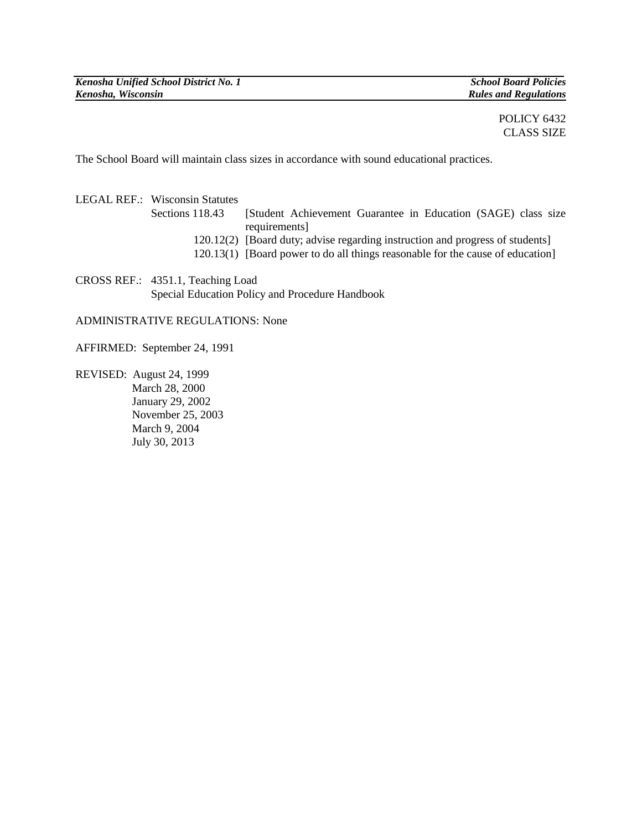## POLICY 6432 CLASS SIZE

The School Board will maintain class sizes in accordance with sound educational practices.

LEGAL REF.: Wisconsin Statutes Sections 118.43 [Student Achievement Guarantee in Education (SAGE) class size requirements] 120.12(2) [Board duty; advise regarding instruction and progress of students] 120.13(1) [Board power to do all things reasonable for the cause of education]

CROSS REF.: 4351.1, Teaching Load Special Education Policy and Procedure Handbook

ADMINISTRATIVE REGULATIONS: None

AFFIRMED: September 24, 1991

REVISED: August 24, 1999 March 28, 2000 January 29, 2002 November 25, 2003 March 9, 2004 July 30, 2013